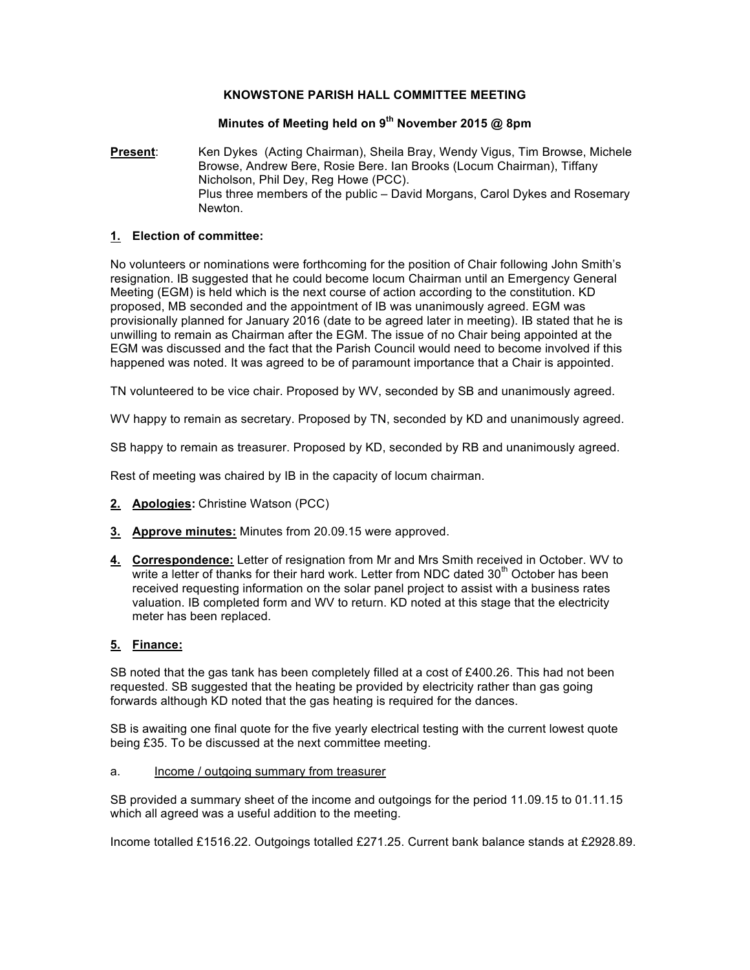### **KNOWSTONE PARISH HALL COMMITTEE MEETING**

# **Minutes of Meeting held on 9th November 2015 @ 8pm**

**Present**: Ken Dykes (Acting Chairman), Sheila Bray, Wendy Vigus, Tim Browse, Michele Browse, Andrew Bere, Rosie Bere. Ian Brooks (Locum Chairman), Tiffany Nicholson, Phil Dey, Reg Howe (PCC). Plus three members of the public – David Morgans, Carol Dykes and Rosemary Newton.

#### **1. Election of committee:**

No volunteers or nominations were forthcoming for the position of Chair following John Smith's resignation. IB suggested that he could become locum Chairman until an Emergency General Meeting (EGM) is held which is the next course of action according to the constitution. KD proposed, MB seconded and the appointment of IB was unanimously agreed. EGM was provisionally planned for January 2016 (date to be agreed later in meeting). IB stated that he is unwilling to remain as Chairman after the EGM. The issue of no Chair being appointed at the EGM was discussed and the fact that the Parish Council would need to become involved if this happened was noted. It was agreed to be of paramount importance that a Chair is appointed.

TN volunteered to be vice chair. Proposed by WV, seconded by SB and unanimously agreed.

WV happy to remain as secretary. Proposed by TN, seconded by KD and unanimously agreed.

SB happy to remain as treasurer. Proposed by KD, seconded by RB and unanimously agreed.

Rest of meeting was chaired by IB in the capacity of locum chairman.

- **2. Apologies:** Christine Watson (PCC)
- **3. Approve minutes:** Minutes from 20.09.15 were approved.
- **4. Correspondence:** Letter of resignation from Mr and Mrs Smith received in October. WV to write a letter of thanks for their hard work. Letter from NDC dated  $30<sup>th</sup>$  October has been received requesting information on the solar panel project to assist with a business rates valuation. IB completed form and WV to return. KD noted at this stage that the electricity meter has been replaced.

### **5. Finance:**

SB noted that the gas tank has been completely filled at a cost of £400.26. This had not been requested. SB suggested that the heating be provided by electricity rather than gas going forwards although KD noted that the gas heating is required for the dances.

SB is awaiting one final quote for the five yearly electrical testing with the current lowest quote being £35. To be discussed at the next committee meeting.

a. Income / outgoing summary from treasurer

SB provided a summary sheet of the income and outgoings for the period 11.09.15 to 01.11.15 which all agreed was a useful addition to the meeting.

Income totalled £1516.22. Outgoings totalled £271.25. Current bank balance stands at £2928.89.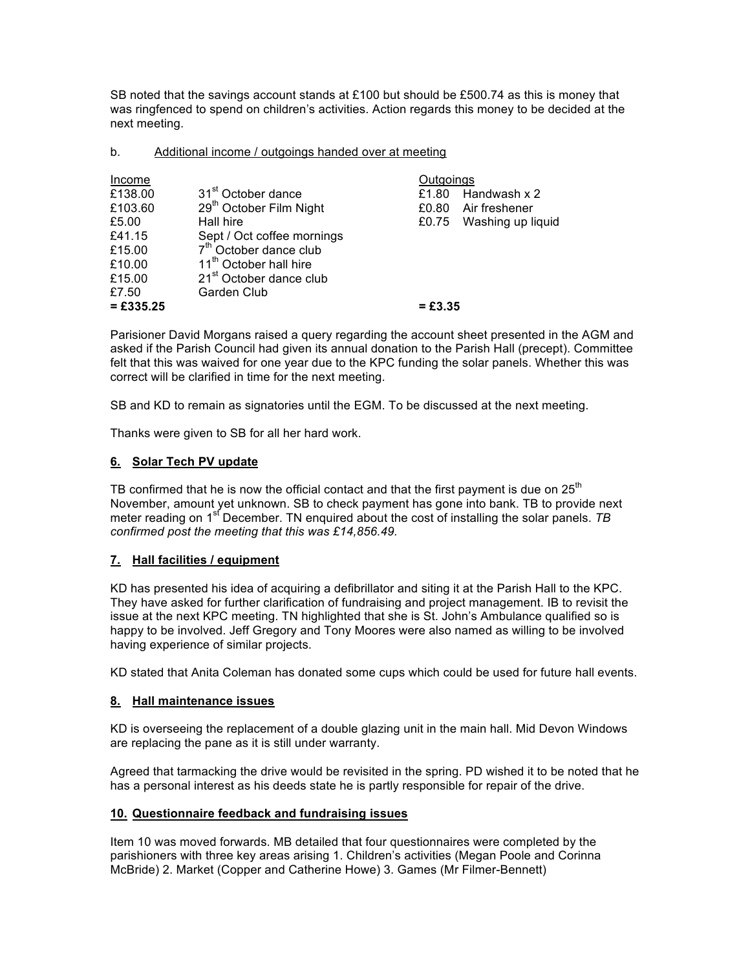SB noted that the savings account stands at £100 but should be £500.74 as this is money that was ringfenced to spend on children's activities. Action regards this money to be decided at the next meeting.

b. Additional income / outgoings handed over at meeting

| Income      |                                     | Outgoings |                   |
|-------------|-------------------------------------|-----------|-------------------|
| £138.00     | 31 <sup>st</sup> October dance      | £1.80     | Handwash x 2      |
| £103.60     | 29 <sup>th</sup> October Film Night | £0.80     | Air freshener     |
| £5.00       | Hall hire                           | £0.75     | Washing up liquid |
| £41.15      | Sept / Oct coffee mornings          |           |                   |
| £15.00      | 7 <sup>th</sup> October dance club  |           |                   |
| £10.00      | 11 <sup>th</sup> October hall hire  |           |                   |
| £15.00      | 21 <sup>st</sup> October dance club |           |                   |
| £7.50       | Garden Club                         |           |                   |
| $= £335.25$ |                                     | $= £3.35$ |                   |

Parisioner David Morgans raised a query regarding the account sheet presented in the AGM and asked if the Parish Council had given its annual donation to the Parish Hall (precept). Committee felt that this was waived for one year due to the KPC funding the solar panels. Whether this was correct will be clarified in time for the next meeting.

SB and KD to remain as signatories until the EGM. To be discussed at the next meeting.

Thanks were given to SB for all her hard work.

## **6. Solar Tech PV update**

TB confirmed that he is now the official contact and that the first payment is due on  $25<sup>th</sup>$ November, amount yet unknown. SB to check payment has gone into bank. TB to provide next meter reading on 1<sup>st</sup> December. TN enquired about the cost of installing the solar panels. TB *confirmed post the meeting that this was £14,856.49.* 

### **7. Hall facilities / equipment**

KD has presented his idea of acquiring a defibrillator and siting it at the Parish Hall to the KPC. They have asked for further clarification of fundraising and project management. IB to revisit the issue at the next KPC meeting. TN highlighted that she is St. John's Ambulance qualified so is happy to be involved. Jeff Gregory and Tony Moores were also named as willing to be involved having experience of similar projects.

KD stated that Anita Coleman has donated some cups which could be used for future hall events.

### **8. Hall maintenance issues**

KD is overseeing the replacement of a double glazing unit in the main hall. Mid Devon Windows are replacing the pane as it is still under warranty.

Agreed that tarmacking the drive would be revisited in the spring. PD wished it to be noted that he has a personal interest as his deeds state he is partly responsible for repair of the drive.

#### **10. Questionnaire feedback and fundraising issues**

Item 10 was moved forwards. MB detailed that four questionnaires were completed by the parishioners with three key areas arising 1. Children's activities (Megan Poole and Corinna McBride) 2. Market (Copper and Catherine Howe) 3. Games (Mr Filmer-Bennett)